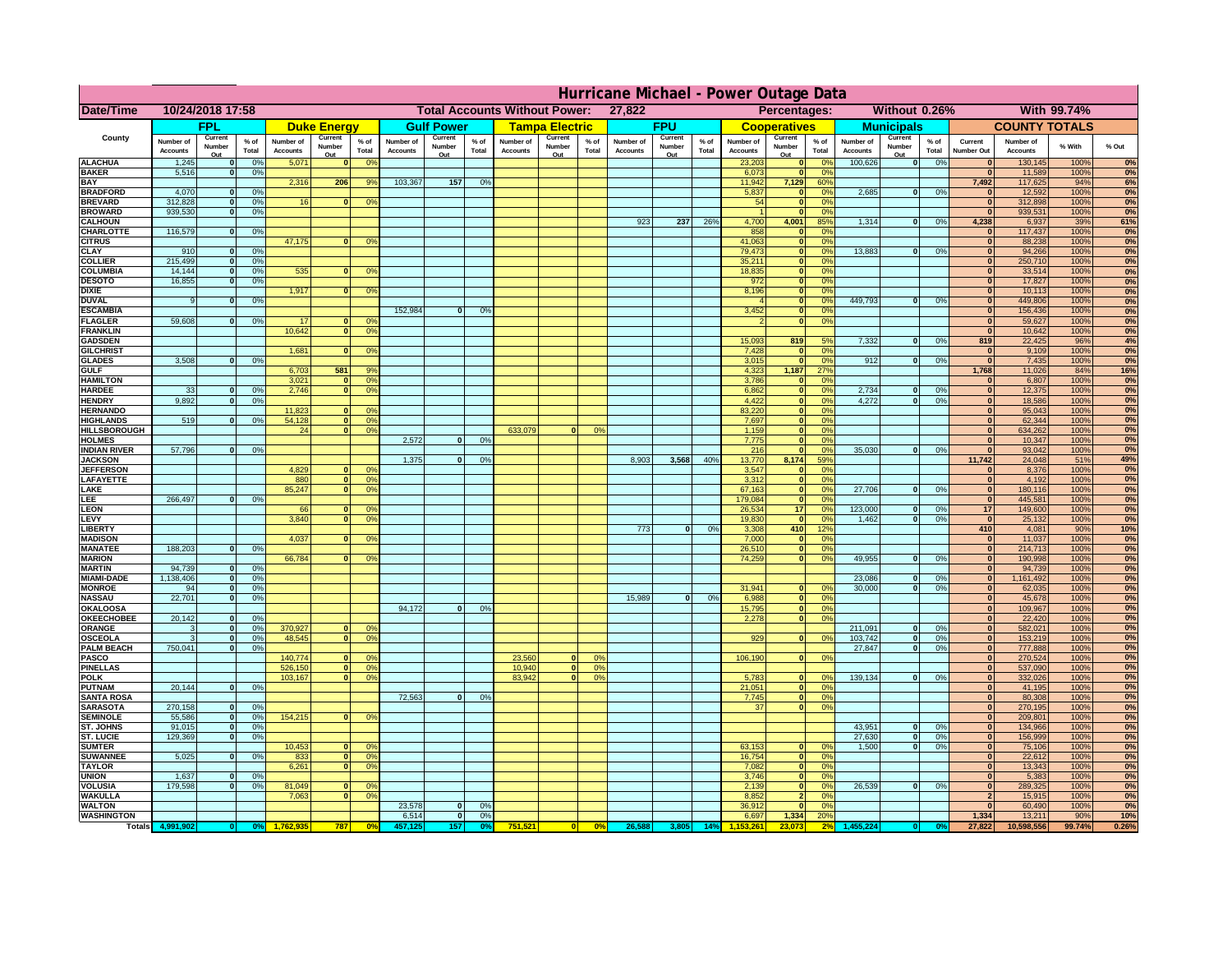|                                      | Hurricane Michael - Power Outage Data |                             |                 |                              |                          |                                                |                              |                          |                |                              |                          |                                                     |                              |                          |                 |                              |                          |                      |                              |                          |                 |                                |                              |              |           |
|--------------------------------------|---------------------------------------|-----------------------------|-----------------|------------------------------|--------------------------|------------------------------------------------|------------------------------|--------------------------|----------------|------------------------------|--------------------------|-----------------------------------------------------|------------------------------|--------------------------|-----------------|------------------------------|--------------------------|----------------------|------------------------------|--------------------------|-----------------|--------------------------------|------------------------------|--------------|-----------|
| Date/Time                            | 10/24/2018 17:58                      |                             |                 |                              |                          | 27,822<br><b>Total Accounts Without Power:</b> |                              |                          |                |                              |                          | Without 0.26%<br><b>With 99.74%</b><br>Percentages: |                              |                          |                 |                              |                          |                      |                              |                          |                 |                                |                              |              |           |
|                                      |                                       | FPL                         |                 |                              | <b>Duke Energy</b>       |                                                |                              | <b>Gulf Power</b>        |                |                              | <b>Tampa Electric</b>    |                                                     |                              | <b>FPU</b>               |                 |                              | <b>Cooperatives</b>      |                      |                              | <b>Municipals</b>        |                 |                                | <b>COUNTY TOTALS</b>         |              |           |
| County                               | Number of<br><b>Accounts</b>          | Current<br>Number<br>Out    | $%$ of<br>Total | Number of<br><b>Accounts</b> | Current<br>Number<br>Out | $%$ of<br>Total                                | Number of<br><b>Accounts</b> | Current<br>Number<br>Out | % of<br>Total  | Number of<br><b>Accounts</b> | Current<br>Number<br>Out | $%$ of<br>Total                                     | Number of<br><b>Accounts</b> | Current<br>Number<br>Out | $%$ of<br>Total | Number of<br><b>Accounts</b> | Current<br>Number<br>Out | $%$ of<br>Total      | Number of<br><b>Accounts</b> | Current<br>Number<br>Out | $%$ of<br>Total | Current<br><b>Number Out</b>   | Number of<br><b>Accounts</b> | % With       | % Out     |
| <b>ALACHUA</b>                       | 1,245                                 | $\mathbf{0}$                | 0%              | 5,071                        | $\bf{0}$                 | 0 <sup>9</sup>                                 |                              |                          |                |                              |                          |                                                     |                              |                          |                 | 23,203                       | 0                        | 0 <sup>9</sup>       | 100,626                      | 0                        | 0%              | $\bf{0}$                       | 130,145                      | 100%         | 0%        |
| <b>BAKER</b>                         | 5,516                                 | 0                           | 0%              |                              |                          |                                                | 103,367                      |                          |                |                              |                          |                                                     |                              |                          |                 | 6,073                        | 0                        | 0%                   |                              |                          |                 | $\overline{0}$                 | 11,589                       | 100%<br>94%  | 0%        |
| <b>BAY</b><br><b>BRADFORD</b>        | 4,070                                 | $\mathbf{0}$                | 0%              | 2,316                        | 206                      | 9%                                             |                              | 157                      | 0%             |                              |                          |                                                     |                              |                          |                 | 11,942<br>5,837              | 7,129<br> 0              | 60%<br>0%            | 2,685                        | 0                        | 0%              | 7,492<br>$\bf{0}$              | 117,625<br>12,592            | 100%         | 6%<br>0%  |
| <b>BREVARD</b>                       | 312,828                               | 0                           | 0%              | 16                           | 0                        | 0 <sup>o</sup>                                 |                              |                          |                |                              |                          |                                                     |                              |                          |                 | 54                           | 0                        | 0%                   |                              |                          |                 | 0                              | 312,898                      | 100%         | 0%        |
| <b>BROWARD</b>                       | 939.530                               | 0                           | 0%              |                              |                          |                                                |                              |                          |                |                              |                          |                                                     |                              |                          |                 |                              | 0                        | 0%                   |                              |                          |                 | $\bf{0}$                       | 939,531                      | 100%         | 0%        |
| <b>CALHOUN</b><br>CHARLOTTE          | 116,579                               | 0                           | 0%              |                              |                          |                                                |                              |                          |                |                              |                          |                                                     | 923                          | 237                      | 26%             | 4,700<br>858                 | 4,001<br> 0              | 85%<br>0%            | 1,314                        | 0                        | 0%              | 4,238<br>$\bf{0}$              | 6,937<br>117,437             | 39%<br>100%  | 61%<br>0% |
| <b>CITRUS</b>                        |                                       |                             |                 | 47,175                       | $\mathbf{0}$             | 0 <sup>o</sup>                                 |                              |                          |                |                              |                          |                                                     |                              |                          |                 | 41,063                       | 0                        | 0 <sup>9</sup>       |                              |                          |                 | $\bf{0}$                       | 88,238                       | 100%         | 0%        |
| <b>CLAY</b>                          | 910                                   | $\mathbf{0}$                | 0%              |                              |                          |                                                |                              |                          |                |                              |                          |                                                     |                              |                          |                 | 79,473                       | 0                        | 0 <sup>9</sup>       | 13,883                       | $\mathbf{0}$             | 0%              | $\bf{0}$                       | 94,266                       | 100%         | 0%        |
| <b>COLLIER</b>                       | 215,499                               | $\mathbf{0}$                | 0 <sup>9</sup>  |                              |                          |                                                |                              |                          |                |                              |                          |                                                     |                              |                          |                 | 35,211                       | 0                        | 0%                   |                              |                          |                 | $\bf{0}$                       | 250,710                      | 100%         | 0%        |
| <b>COLUMBIA</b><br><b>DESOTO</b>     | 14,144<br>16,855                      | $\mathbf 0$<br>$\mathbf{0}$ | 0%<br>0%        | 535                          | $\mathbf{0}$             | 0 <sup>9</sup>                                 |                              |                          |                |                              |                          |                                                     |                              |                          |                 | 18,835<br>972                | 0 <br> 0                 | 0%<br>0%             |                              |                          |                 | $\bf{0}$<br>$\bf{0}$           | 33,514<br>17,827             | 100%<br>100% | 0%<br>0%  |
| <b>DIXIE</b>                         |                                       |                             |                 | 1,917                        | $\Omega$                 | 0 <sup>9</sup>                                 |                              |                          |                |                              |                          |                                                     |                              |                          |                 | 8,196                        | 0                        | 0%                   |                              |                          |                 | $\Omega$                       | 10,113                       | 100%         | 0%        |
| <b>DUVAL</b>                         | 9                                     | $\Omega$                    | 0%              |                              |                          |                                                |                              |                          |                |                              |                          |                                                     |                              |                          |                 |                              | 0                        | 0%                   | 449.793                      | $\overline{\mathbf{0}}$  | 0%              | $\Omega$                       | 449,806                      | 100%         | 0%        |
| <b>ESCAMBIA</b>                      | 59,608                                |                             |                 | 17                           |                          |                                                | 152,984                      | $\mathbf{0}$             | 0 <sup>9</sup> |                              |                          |                                                     |                              |                          |                 | 3,452                        | 0                        | 0%<br>0%             |                              |                          |                 | $\Omega$                       | 156,436                      | 100%         | 0%        |
| <b>FLAGLER</b><br><b>FRANKLIN</b>    |                                       | $\overline{0}$              | 0%              | 10,642                       | $\bf{0}$<br> 0           | 0 <sup>o</sup><br>0 <sup>9</sup>               |                              |                          |                |                              |                          |                                                     |                              |                          |                 |                              | 0                        |                      |                              |                          |                 | $\mathbf{0}$<br>$\Omega$       | 59,627<br>10,642             | 100%<br>100% | 0%<br>0%  |
| <b>GADSDEN</b>                       |                                       |                             |                 |                              |                          |                                                |                              |                          |                |                              |                          |                                                     |                              |                          |                 | 15,093                       | 819                      | 5%                   | 7,332                        | 0                        | 0%              | 819                            | 22,425                       | 96%          | 4%        |
| <b>GILCHRIST</b>                     |                                       |                             |                 | 1,681                        | $\Omega$                 | 0 <sup>9</sup>                                 |                              |                          |                |                              |                          |                                                     |                              |                          |                 | 7,428                        | 0                        | 0%                   |                              |                          |                 | $\overline{\mathbf{0}}$        | 9,109                        | 100%         | 0%        |
| <b>GLADES</b><br><b>GULF</b>         | 3,508                                 | 0                           | 0%              |                              | 581                      | 9%                                             |                              |                          |                |                              |                          |                                                     |                              |                          |                 | 3,015                        | 0 <br>1,187              | 0%<br>27%            | 912                          | $\overline{0}$           | 0%              | 0 <br>1,768                    | 7,435                        | 100%<br>84%  | 0%        |
| <b>HAMILTON</b>                      |                                       |                             |                 | 6,703<br>3,021               | $\overline{0}$           | 0 <sup>9</sup>                                 |                              |                          |                |                              |                          |                                                     |                              |                          |                 | 4,323<br>3,786               | 0                        | 0%                   |                              |                          |                 | $\Omega$                       | 11,026<br>6,807              | 100%         | 16%<br>0% |
| <b>HARDEE</b>                        | 33                                    | $\overline{0}$              | 0%              | 2.746                        | $\overline{0}$           | 0 <sup>9</sup>                                 |                              |                          |                |                              |                          |                                                     |                              |                          |                 | 6.862                        | $\overline{0}$           | 0%                   | 2.734                        | $\mathbf{0}$             | 0%              | 0                              | 12,375                       | 100%         | 0%        |
| <b>HENDRY</b>                        | 9,892                                 | $\Omega$                    | 0%              |                              |                          |                                                |                              |                          |                |                              |                          |                                                     |                              |                          |                 | 4,422                        | 0                        | 0%                   | 4,272                        | $\Omega$                 | 0%              | 0                              | 18,586                       | 100%         | 0%        |
| <b>HERNANDO</b><br><b>HIGHLANDS</b>  | 519                                   | $\mathbf{0}$                |                 | 11,823<br>54,128             | $\mathbf{0}$<br> 0       | 0 <sup>9</sup><br>0 <sup>9</sup>               |                              |                          |                |                              |                          |                                                     |                              |                          |                 | 83,220<br>7,697              | 0 <br> 0                 | 0%<br>0%             |                              |                          |                 | $\mathbf{0}$<br>$\mathbf{0}$   | 95,043<br>62,344             | 100%<br>100% | 0%<br>0%  |
| <b>HILLSBOROUGH</b>                  |                                       |                             | 0 <sup>9</sup>  | 24                           | 0                        | 0 <sup>9</sup>                                 |                              |                          |                | 633,079                      |                          | 0%                                                  |                              |                          |                 | 1,159                        | 0                        | 0%                   |                              |                          |                 | $\mathbf{0}$                   | 634,262                      | 100%         | 0%        |
| <b>HOLMES</b>                        |                                       |                             |                 |                              |                          |                                                | 2.572                        | $\mathbf{0}$             | 0%             |                              |                          |                                                     |                              |                          |                 | 7,775                        | 0                        | 0%                   |                              |                          |                 | $\mathbf{0}$                   | 10,347                       | 100%         | 0%        |
| <b>INDIAN RIVER</b>                  | 57,796                                | $\mathbf{0}$                | 0%              |                              |                          |                                                |                              |                          |                |                              |                          |                                                     |                              |                          |                 | 216                          | 0                        | 0%                   | 35,030                       | $\mathbf{0}$             | 0%              | $\mathbf{0}$                   | 93,042                       | 100%         | 0%        |
| <b>JACKSON</b><br><b>JEFFERSON</b>   |                                       |                             |                 | 4.829                        | n l                      | 0 <sup>9</sup>                                 | 1.375                        | $\mathbf{0}$             | 0 <sup>9</sup> |                              |                          |                                                     | 8.903                        | 3.568                    | 40%             | 13,770<br>3.547              | 8.174                    | 59%<br>0%            |                              |                          |                 | 11.742<br> 0                   | 24,048<br>8.376              | 51%<br>100%  | 49%<br>0% |
| LAFAYETTE                            |                                       |                             |                 | 880                          | 0                        | 0 <sup>9</sup>                                 |                              |                          |                |                              |                          |                                                     |                              |                          |                 | 3.312                        | 0 <br> 0                 | 0%                   |                              |                          |                 | 0                              | 4.192                        | 100%         | 0%        |
| LAKE                                 |                                       |                             |                 | 85,247                       | $\mathbf{0}$             | 0 <sup>9</sup>                                 |                              |                          |                |                              |                          |                                                     |                              |                          |                 | 67,163                       | 0                        | 0%                   | 27,706                       | $\Omega$                 | 0%              | 0                              | 180,116                      | 100%         | 0%        |
| EE.                                  | 266,497                               | 0                           | 0%              |                              |                          |                                                |                              |                          |                |                              |                          |                                                     |                              |                          |                 | 179,084                      | 0                        | 0%                   |                              |                          |                 | 0                              | 445,581                      | 100%         | 0%        |
| LEON<br>LEVY                         |                                       |                             |                 | 66<br>3,840                  | $\mathbf{0}$<br>$\Omega$ | 0 <sup>o</sup><br>0 <sup>9</sup>               |                              |                          |                |                              |                          |                                                     |                              |                          |                 | 26,534<br>19,830             | 17<br> 0                 | 0%<br>0 <sup>9</sup> | 123,000<br>1,462             | $\mathbf{0}$<br>-ol      | 0%<br>0%        | 17<br> 0                       | 149,600<br>25,132            | 100%<br>100% | 0%<br>0%  |
| <b>LIBERTY</b>                       |                                       |                             |                 |                              |                          |                                                |                              |                          |                |                              |                          |                                                     | 773                          | $\Omega$                 | 0%              | 3,308                        | 410                      | 12%                  |                              |                          |                 | 410                            | 4,081                        | 90%          | 10%       |
| <b>MADISON</b>                       |                                       |                             |                 | 4,037                        | $\Omega$                 | 0 <sup>9</sup>                                 |                              |                          |                |                              |                          |                                                     |                              |                          |                 | 7,000                        | 0                        | 0%                   |                              |                          |                 | 0                              | 11,037                       | 100%         | 0%        |
| <b>MANATEE</b>                       | 188,203                               | 0                           | 0%              |                              |                          |                                                |                              |                          |                |                              |                          |                                                     |                              |                          |                 | 26,510                       | 0                        | 0%                   |                              |                          |                 | 0                              | 214,713                      | 100%         | 0%        |
| <b>MARION</b><br><b>MARTIN</b>       | 94,739                                | 0                           | 0%              | 66,784                       | 0                        | 0 <sup>9</sup>                                 |                              |                          |                |                              |                          |                                                     |                              |                          |                 | 74,259                       | 0                        | 0%                   | 49,955                       | nl                       | 0%              | 0 <br> 0                       | 190,998<br>94,739            | 100%<br>100% | 0%<br>0%  |
| <b>MIAMI-DADE</b>                    | 1,138,406                             | 0                           | 0%              |                              |                          |                                                |                              |                          |                |                              |                          |                                                     |                              |                          |                 |                              |                          |                      | 23,086                       | $\mathbf{0}$             | 0%              | 0                              | 1,161,492                    | 100%         | 0%        |
| <b>MONROE</b>                        | 94                                    | 0                           | 0%              |                              |                          |                                                |                              |                          |                |                              |                          |                                                     |                              |                          |                 | 31,941                       | $\overline{0}$           | 0 <sup>9</sup>       | 30,000                       | 0                        | 0%              | 0                              | 62,035                       | 100%         | 0%        |
| <b>NASSAU</b>                        | 22,701                                | 0                           | 0%              |                              |                          |                                                |                              |                          |                |                              |                          |                                                     | 15,989                       | 0                        | 0%              | 6,988                        | 0                        | 0%                   |                              |                          |                 | 0                              | 45,678                       | 100%         | 0%        |
| <b>OKALOOSA</b><br><b>OKEECHOBEE</b> | 20,142                                | 0                           | 0%              |                              |                          |                                                | 94,172                       | $\mathbf{0}$             | 0%             |                              |                          |                                                     |                              |                          |                 | 15,795<br>2,278              | 0                        | 0%<br>0%<br> 0       |                              |                          |                 | 0 <br> 0                       | 109,967<br>22,420            | 100%<br>100% | 0%<br>0%  |
| ORANGE                               | 3                                     | 0                           | 0%              | 370,927                      | 0                        | 0 <sup>o</sup>                                 |                              |                          |                |                              |                          |                                                     |                              |                          |                 |                              |                          |                      | 211,091                      | $\overline{\mathbf{0}}$  | 0%              | 0                              | 582,021                      | 100%         | 0%        |
| <b>OSCEOLA</b>                       | 3                                     | 0                           | 0%              | 48,545                       | 0                        | 0 <sup>9</sup>                                 |                              |                          |                |                              |                          |                                                     |                              |                          |                 | 929                          |                          | 0 <br>0%             | 103,742                      | 0                        | 0%              | 0                              | 153,219                      | 100%         | 0%        |
| <b>PALM BEACH</b>                    | 750,041                               | 0                           | 0%              |                              |                          |                                                |                              |                          |                |                              |                          |                                                     |                              |                          |                 |                              |                          |                      | 27,847                       | $\overline{\mathbf{0}}$  | 0%              | 0                              | 777,888                      | 100%         | 0%        |
| PASCO<br><b>PINELLAS</b>             |                                       |                             |                 | 140,774<br>526,150           | $\Omega$<br> 0           | 0 <sup>9</sup><br>0 <sup>9</sup>               |                              |                          |                | 23,560<br>10,940             | $\Omega$<br> 0           | $^{\circ}$<br>0%                                    |                              |                          |                 | 106,190                      |                          | 0 <br>0%             |                              |                          |                 | 0 <br>$\Omega$                 | 270,524<br>537,090           | 100%<br>100% | 0%<br>0%  |
| <b>POLK</b>                          |                                       |                             |                 | 103,167                      | 0                        | 0 <sup>9</sup>                                 |                              |                          |                | 83,942                       | $\mathbf{a}$             | 0%                                                  |                              |                          |                 | 5,783                        | 0                        | $\Omega$             | 139,134                      | 0                        | 0%              | 0                              | 332,026                      | 100%         | 0%        |
| <b>PUTNAM</b>                        | 20,144                                | 0                           | 0%              |                              |                          |                                                |                              |                          |                |                              |                          |                                                     |                              |                          |                 | 21,051                       | $\ddot{\textbf{0}}$      | 0%                   |                              |                          |                 | $\bf{0}$                       | 41,195                       | 100%         | 0%        |
| <b>SANTA ROSA</b>                    |                                       |                             |                 |                              |                          |                                                | 72,563                       | 0                        | 0%             |                              |                          |                                                     |                              |                          |                 | 7,745                        | 0                        | 0%<br>0%             |                              |                          |                 | $\mathbf{0}$<br> 0             | 80,308                       | 100%         | 0%        |
| <b>SARASOTA</b><br><b>SEMINOLE</b>   | 270,158<br>55,586                     | 0 <br> 0                    | 0%<br>0%        | 154,215                      | $\mathbf{0}$             | 0 <sup>9</sup>                                 |                              |                          |                |                              |                          |                                                     |                              |                          |                 | 37                           |                          | 0                    |                              |                          |                 | 0                              | 270,195<br>209,801           | 100%<br>100% | 0%<br>0%  |
| <b>ST. JOHNS</b>                     | 91,015                                | 0                           | 0%              |                              |                          |                                                |                              |                          |                |                              |                          |                                                     |                              |                          |                 |                              |                          |                      | 43,951                       | -ol                      | 0%              | 0                              | 134,966                      | 100%         | 0%        |
| <b>ST. LUCIE</b>                     | 129.369                               | $\mathbf{0}$                | 0%              |                              |                          |                                                |                              |                          |                |                              |                          |                                                     |                              |                          |                 |                              |                          |                      | 27.630                       | - O I                    | 0%              | 0                              | 156,999                      | 100%         | 0%        |
| <b>SUMTER</b>                        |                                       |                             |                 | 10,453                       | $\overline{0}$           | 0 <sup>9</sup>                                 |                              |                          |                |                              |                          |                                                     |                              |                          |                 | 63,153                       | 0                        | 0%                   | 1.500                        | 0                        | 0%              | 0                              | 75,106                       | 100%         | 0%        |
| <b>SUWANNEE</b><br><b>TAYLOR</b>     | 5,025                                 | 0                           | 0%              | 833<br>6,261                 | 0 <br> 0                 | 0 <sup>o</sup><br>0 <sup>9</sup>               |                              |                          |                |                              |                          |                                                     |                              |                          |                 | 16,754<br>7,082              | 0 <br> 0                 | 0%<br>0%             |                              |                          |                 | $\mathbf{0}$<br>$\bf{0}$       | 22,612<br>13,343             | 100%<br>100% | 0%<br>0%  |
| <b>UNION</b>                         | 1,637                                 | $\mathbf{0}$                | 0%              |                              |                          |                                                |                              |                          |                |                              |                          |                                                     |                              |                          |                 | 3,746                        | 0                        | 0%                   |                              |                          |                 | $\bf{0}$                       | 5,383                        | 100%         | 0%        |
| <b>VOLUSIA</b>                       | 179,598                               | 0                           | 0%              | 81,049                       | $\mathbf{0}$             | $\mathbf{0}$                                   |                              |                          |                |                              |                          |                                                     |                              |                          |                 | 2,139                        | 0                        | 0%                   | 26,539                       | 0                        | 0%              | $\bf{0}$                       | 289,325                      | 100%         | 0%        |
| <b>WAKULLA</b><br><b>WALTON</b>      |                                       |                             |                 | 7,063                        | $\mathbf{0}$             | 0 <sup>9</sup>                                 | 23,578                       | $\mathbf{0}$             | 0%             |                              |                          |                                                     |                              |                          |                 | 8,852<br>36,912              | $\overline{2}$<br> 0     | 0%<br>0%             |                              |                          |                 | $\overline{2}$<br>$\mathbf{0}$ | 15,915<br>60,490             | 100%<br>100% | 0%<br>0%  |
| <b>WASHINGTON</b>                    |                                       |                             |                 |                              |                          |                                                | 6,514                        | 0                        | 0%             |                              |                          |                                                     |                              |                          |                 | 6,697                        | 1,334                    | <b>20%</b>           |                              |                          |                 | 1,334                          | 13,211                       | 90%          | 10%       |
| <b>Totals</b>                        |                                       |                             |                 |                              | 787                      | 0 <sup>6</sup>                                 |                              | 157                      | 0%             | 751,521                      | 0                        | 0%                                                  | 26,588                       | 3,805                    | 14%             |                              | 23.073                   | 2 <sup>6</sup>       |                              |                          |                 | 27,822                         | 10,598,556                   | 99.74%       | 0.26%     |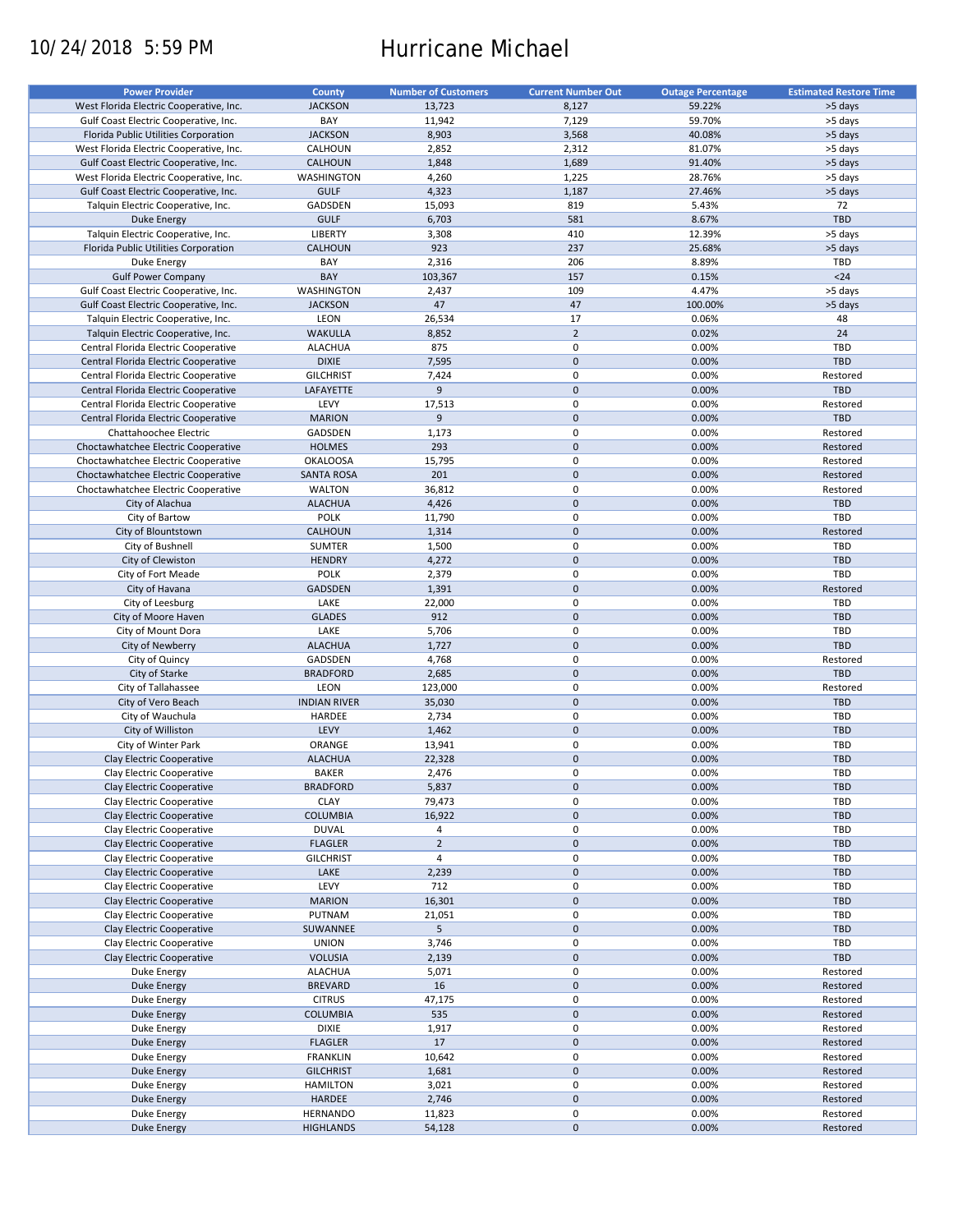# 10/24/2018 5:59 PM Hurricane Michael

| <b>Power Provider</b>                   | <b>County</b>       | <b>Number of Customers</b> | <b>Current Number Out</b> | <b>Outage Percentage</b> | <b>Estimated Restore Time</b> |
|-----------------------------------------|---------------------|----------------------------|---------------------------|--------------------------|-------------------------------|
| West Florida Electric Cooperative, Inc. | <b>JACKSON</b>      | 13,723                     | 8,127                     | 59.22%                   | >5 days                       |
| Gulf Coast Electric Cooperative, Inc.   | BAY                 | 11,942                     | 7,129                     | 59.70%                   | >5 days                       |
|                                         |                     |                            |                           |                          |                               |
| Florida Public Utilities Corporation    | <b>JACKSON</b>      | 8,903                      | 3,568                     | 40.08%                   | >5 days                       |
| West Florida Electric Cooperative, Inc. | CALHOUN             | 2,852                      | 2,312                     | 81.07%                   | >5 days                       |
| Gulf Coast Electric Cooperative, Inc.   | <b>CALHOUN</b>      | 1,848                      | 1,689                     | 91.40%                   | >5 days                       |
| West Florida Electric Cooperative, Inc. | <b>WASHINGTON</b>   | 4,260                      | 1,225                     | 28.76%                   | >5 days                       |
| Gulf Coast Electric Cooperative, Inc.   | <b>GULF</b>         | 4,323                      | 1,187                     | 27.46%                   | >5 days                       |
| Talquin Electric Cooperative, Inc.      | GADSDEN             | 15,093                     | 819                       | 5.43%                    | 72                            |
| <b>Duke Energy</b>                      | <b>GULF</b>         | 6,703                      | 581                       | 8.67%                    | TBD                           |
| Talquin Electric Cooperative, Inc.      | LIBERTY             | 3,308                      | 410                       | 12.39%                   | >5 days                       |
| Florida Public Utilities Corporation    | <b>CALHOUN</b>      | 923                        | 237                       | 25.68%                   | >5 days                       |
| Duke Energy                             | BAY                 | 2,316                      | 206                       | 8.89%                    | TBD                           |
|                                         |                     |                            |                           |                          |                               |
| <b>Gulf Power Company</b>               | BAY                 | 103,367                    | 157                       | 0.15%                    | $24$                          |
| Gulf Coast Electric Cooperative, Inc.   | <b>WASHINGTON</b>   | 2,437                      | 109                       | 4.47%                    | >5 days                       |
| Gulf Coast Electric Cooperative, Inc.   | <b>JACKSON</b>      | 47                         | 47                        | 100.00%                  | >5 days                       |
| Talquin Electric Cooperative, Inc.      | LEON                | 26,534                     | 17                        | 0.06%                    | 48                            |
| Talquin Electric Cooperative, Inc.      | <b>WAKULLA</b>      | 8,852                      | $\overline{2}$            | 0.02%                    | 24                            |
| Central Florida Electric Cooperative    | <b>ALACHUA</b>      | 875                        | $\pmb{0}$                 | 0.00%                    | TBD                           |
| Central Florida Electric Cooperative    | <b>DIXIE</b>        | 7,595                      | $\mathbf 0$               | 0.00%                    | TBD                           |
| Central Florida Electric Cooperative    | <b>GILCHRIST</b>    | 7,424                      | $\pmb{0}$                 | 0.00%                    | Restored                      |
| Central Florida Electric Cooperative    | LAFAYETTE           | 9                          | $\mathbf 0$               | 0.00%                    | <b>TBD</b>                    |
|                                         |                     |                            |                           |                          |                               |
| Central Florida Electric Cooperative    | LEVY                | 17,513                     | $\pmb{0}$                 | 0.00%                    | Restored                      |
| Central Florida Electric Cooperative    | <b>MARION</b>       | 9                          | $\mathbf 0$               | 0.00%                    | <b>TBD</b>                    |
| Chattahoochee Electric                  | GADSDEN             | 1,173                      | $\pmb{0}$                 | 0.00%                    | Restored                      |
| Choctawhatchee Electric Cooperative     | <b>HOLMES</b>       | 293                        | $\mathbf 0$               | 0.00%                    | Restored                      |
| Choctawhatchee Electric Cooperative     | <b>OKALOOSA</b>     | 15,795                     | $\pmb{0}$                 | 0.00%                    | Restored                      |
| Choctawhatchee Electric Cooperative     | <b>SANTA ROSA</b>   | 201                        | $\mathbf 0$               | 0.00%                    | Restored                      |
| Choctawhatchee Electric Cooperative     | <b>WALTON</b>       | 36,812                     | $\mathbf 0$               | 0.00%                    | Restored                      |
| City of Alachua                         | <b>ALACHUA</b>      | 4,426                      | $\pmb{0}$                 | 0.00%                    | <b>TBD</b>                    |
|                                         |                     |                            |                           |                          | TBD                           |
| City of Bartow                          | <b>POLK</b>         | 11,790                     | $\mathbf 0$               | 0.00%                    |                               |
| City of Blountstown                     | CALHOUN             | 1,314                      | $\mathbf 0$               | 0.00%                    | Restored                      |
| City of Bushnell                        | SUMTER              | 1,500                      | 0                         | 0.00%                    | TBD                           |
| City of Clewiston                       | <b>HENDRY</b>       | 4,272                      | $\mathbf 0$               | 0.00%                    | <b>TBD</b>                    |
| City of Fort Meade                      | <b>POLK</b>         | 2,379                      | $\pmb{0}$                 | 0.00%                    | TBD                           |
| City of Havana                          | <b>GADSDEN</b>      | 1,391                      | $\mathbf 0$               | 0.00%                    | Restored                      |
| City of Leesburg                        | LAKE                | 22,000                     | 0                         | 0.00%                    | TBD                           |
| City of Moore Haven                     | <b>GLADES</b>       | 912                        | $\mathbf 0$               | 0.00%                    | <b>TBD</b>                    |
| City of Mount Dora                      | LAKE                | 5,706                      | $\pmb{0}$                 | 0.00%                    | TBD                           |
| City of Newberry                        | <b>ALACHUA</b>      | 1,727                      | $\pmb{0}$                 | 0.00%                    | <b>TBD</b>                    |
|                                         |                     |                            |                           |                          |                               |
| City of Quincy                          | GADSDEN             | 4,768                      | 0                         | 0.00%                    | Restored                      |
| City of Starke                          | <b>BRADFORD</b>     | 2,685                      | $\mathbf 0$               | 0.00%                    | <b>TBD</b>                    |
| City of Tallahassee                     | LEON                | 123,000                    | $\pmb{0}$                 | 0.00%                    | Restored                      |
| City of Vero Beach                      | <b>INDIAN RIVER</b> | 35,030                     | $\mathbf 0$               | 0.00%                    | <b>TBD</b>                    |
| City of Wauchula                        | HARDEE              | 2,734                      | 0                         | 0.00%                    | TBD                           |
| City of Williston                       | LEVY                | 1,462                      | $\mathbf 0$               | 0.00%                    | <b>TBD</b>                    |
| City of Winter Park                     | ORANGE              | 13,941                     | $\pmb{0}$                 | 0.00%                    | TBD                           |
| Clay Electric Cooperative               | <b>ALACHUA</b>      | 22,328                     | $\mathbf 0$               | 0.00%                    | <b>TBD</b>                    |
| Clay Electric Cooperative               | <b>BAKER</b>        | 2,476                      | $\mathbf 0$               | 0.00%                    | TBD                           |
|                                         |                     |                            |                           |                          |                               |
| Clay Electric Cooperative               | <b>BRADFORD</b>     | 5,837                      | $\mathsf{O}\xspace$       | 0.00%                    | <b>TBD</b>                    |
| Clay Electric Cooperative               | <b>CLAY</b>         | 79,473                     | 0                         | 0.00%                    | TBD                           |
| Clay Electric Cooperative               | <b>COLUMBIA</b>     | 16,922                     | $\pmb{0}$                 | 0.00%                    | <b>TBD</b>                    |
| Clay Electric Cooperative               | <b>DUVAL</b>        | 4                          | 0                         | 0.00%                    | TBD                           |
| Clay Electric Cooperative               | <b>FLAGLER</b>      | $\mathbf 2$                | $\pmb{0}$                 | 0.00%                    | <b>TBD</b>                    |
| Clay Electric Cooperative               | <b>GILCHRIST</b>    | 4                          | 0                         | 0.00%                    | TBD                           |
| Clay Electric Cooperative               | LAKE                | 2,239                      | $\mathsf{O}\xspace$       | 0.00%                    | <b>TBD</b>                    |
| Clay Electric Cooperative               | LEVY                | 712                        | 0                         | 0.00%                    | TBD                           |
| Clay Electric Cooperative               | <b>MARION</b>       | 16,301                     | $\pmb{0}$                 | 0.00%                    | <b>TBD</b>                    |
|                                         |                     |                            |                           |                          |                               |
| Clay Electric Cooperative               | PUTNAM              | 21,051                     | 0                         | 0.00%                    | TBD                           |
| Clay Electric Cooperative               | SUWANNEE            | 5                          | $\pmb{0}$                 | 0.00%                    | <b>TBD</b>                    |
| Clay Electric Cooperative               | <b>UNION</b>        | 3,746                      | 0                         | 0.00%                    | TBD                           |
| Clay Electric Cooperative               | <b>VOLUSIA</b>      | 2,139                      | $\mathsf{O}\xspace$       | 0.00%                    | TBD                           |
| Duke Energy                             | <b>ALACHUA</b>      | 5,071                      | 0                         | 0.00%                    | Restored                      |
| Duke Energy                             | <b>BREVARD</b>      | 16                         | $\pmb{0}$                 | 0.00%                    | Restored                      |
| Duke Energy                             | <b>CITRUS</b>       | 47,175                     | 0                         | 0.00%                    | Restored                      |
| Duke Energy                             | <b>COLUMBIA</b>     | 535                        | $\pmb{0}$                 | 0.00%                    | Restored                      |
|                                         | DIXIE               | 1,917                      | $\pmb{0}$                 | 0.00%                    | Restored                      |
| Duke Energy                             |                     |                            |                           |                          |                               |
| Duke Energy                             | <b>FLAGLER</b>      | 17                         | $\pmb{0}$                 | 0.00%                    | Restored                      |
| Duke Energy                             | <b>FRANKLIN</b>     | 10,642                     | $\pmb{0}$                 | 0.00%                    | Restored                      |
| <b>Duke Energy</b>                      | <b>GILCHRIST</b>    | 1,681                      | $\pmb{0}$                 | 0.00%                    | Restored                      |
| Duke Energy                             | <b>HAMILTON</b>     | 3,021                      | $\pmb{0}$                 | 0.00%                    | Restored                      |
| <b>Duke Energy</b>                      | HARDEE              | 2,746                      | $\pmb{0}$                 | 0.00%                    | Restored                      |
| Duke Energy                             | <b>HERNANDO</b>     | 11,823                     | 0                         | 0.00%                    | Restored                      |
| Duke Energy                             | <b>HIGHLANDS</b>    | 54,128                     | $\pmb{0}$                 | 0.00%                    | Restored                      |
|                                         |                     |                            |                           |                          |                               |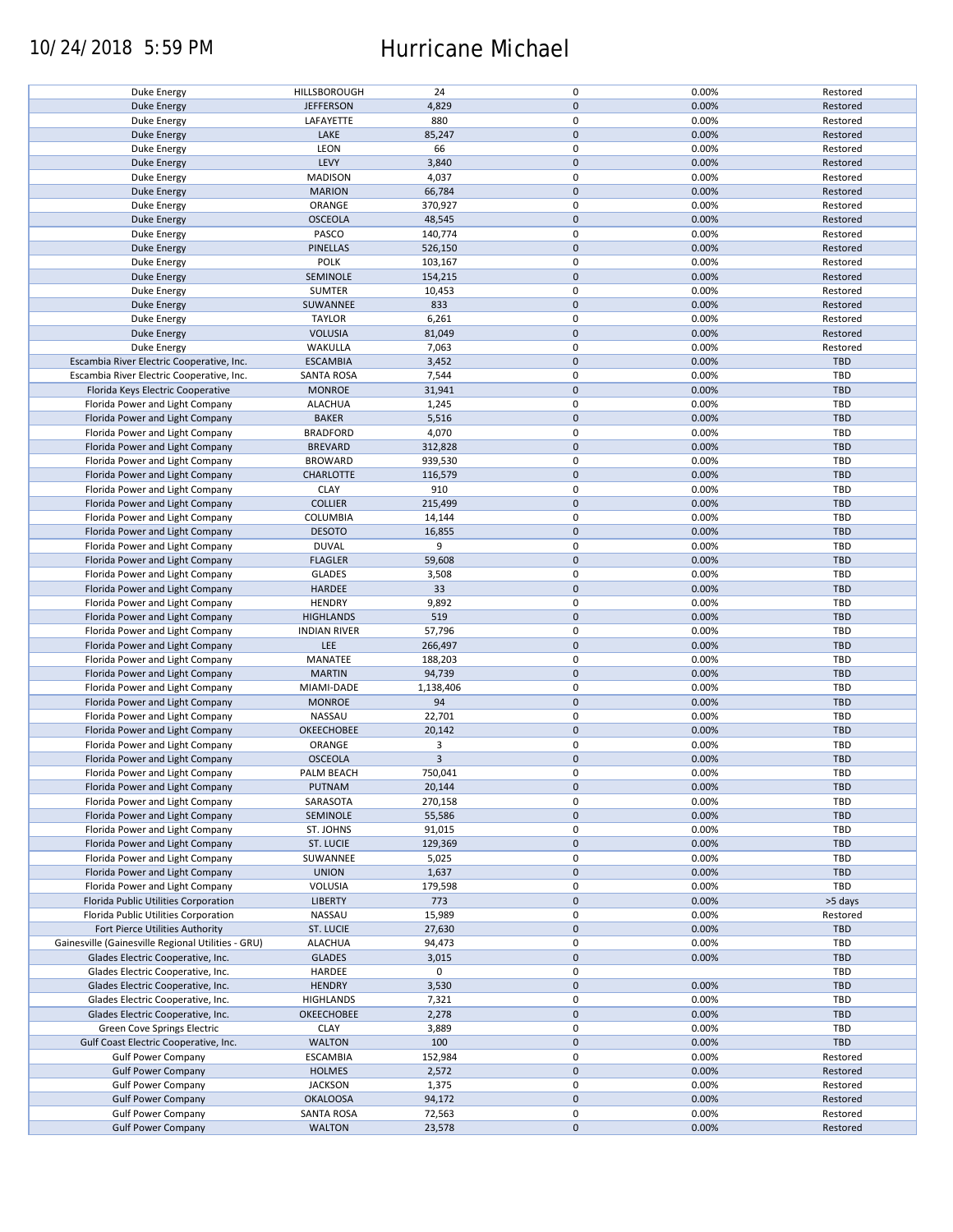### 10/24/2018 5:59 PM Hurricane Michael

| Duke Energy                                        | HILLSBOROUGH        | 24             | $\pmb{0}$           | 0.00% | Restored   |
|----------------------------------------------------|---------------------|----------------|---------------------|-------|------------|
| <b>Duke Energy</b>                                 | <b>JEFFERSON</b>    | 4,829          | $\mathbf 0$         | 0.00% | Restored   |
| Duke Energy                                        | LAFAYETTE           | 880            | 0                   | 0.00% | Restored   |
| <b>Duke Energy</b>                                 | LAKE                | 85,247         | $\mathbf 0$         | 0.00% | Restored   |
|                                                    |                     |                |                     |       |            |
| Duke Energy                                        | LEON                | 66             | $\pmb{0}$           | 0.00% | Restored   |
| <b>Duke Energy</b>                                 | LEVY                | 3,840          | $\mathbf 0$         | 0.00% | Restored   |
| Duke Energy                                        | <b>MADISON</b>      | 4,037          | 0                   | 0.00% | Restored   |
| <b>Duke Energy</b>                                 | <b>MARION</b>       | 66,784         | $\mathbf 0$         | 0.00% | Restored   |
|                                                    |                     |                |                     |       |            |
| Duke Energy                                        | ORANGE              | 370,927        | 0                   | 0.00% | Restored   |
| <b>Duke Energy</b>                                 | <b>OSCEOLA</b>      | 48,545         | $\mathbf 0$         | 0.00% | Restored   |
| Duke Energy                                        | PASCO               | 140,774        | 0                   | 0.00% | Restored   |
| <b>Duke Energy</b>                                 | <b>PINELLAS</b>     | 526,150        | $\mathbf 0$         | 0.00% | Restored   |
|                                                    | <b>POLK</b>         |                | $\pmb{0}$           | 0.00% |            |
| Duke Energy                                        |                     | 103,167        |                     |       | Restored   |
| <b>Duke Energy</b>                                 | SEMINOLE            | 154,215        | $\mathbf 0$         | 0.00% | Restored   |
| Duke Energy                                        | SUMTER              | 10,453         | $\pmb{0}$           | 0.00% | Restored   |
| <b>Duke Energy</b>                                 | SUWANNEE            | 833            | $\pmb{0}$           | 0.00% | Restored   |
|                                                    |                     |                | $\pmb{0}$           |       |            |
| Duke Energy                                        | <b>TAYLOR</b>       | 6,261          |                     | 0.00% | Restored   |
| <b>Duke Energy</b>                                 | <b>VOLUSIA</b>      | 81,049         | $\pmb{0}$           | 0.00% | Restored   |
| Duke Energy                                        | WAKULLA             | 7,063          | $\pmb{0}$           | 0.00% | Restored   |
| Escambia River Electric Cooperative, Inc.          | <b>ESCAMBIA</b>     | 3,452          | $\pmb{0}$           | 0.00% | TBD        |
|                                                    |                     |                | $\pmb{0}$           |       |            |
| Escambia River Electric Cooperative, Inc.          | <b>SANTA ROSA</b>   | 7,544          |                     | 0.00% | <b>TBD</b> |
| Florida Keys Electric Cooperative                  | <b>MONROE</b>       | 31,941         | $\pmb{0}$           | 0.00% | <b>TBD</b> |
| Florida Power and Light Company                    | <b>ALACHUA</b>      | 1,245          | 0                   | 0.00% | <b>TBD</b> |
| Florida Power and Light Company                    | <b>BAKER</b>        | 5,516          | $\pmb{0}$           | 0.00% | <b>TBD</b> |
|                                                    | <b>BRADFORD</b>     |                | $\pmb{0}$           |       | TBD        |
| Florida Power and Light Company                    |                     | 4,070          |                     | 0.00% |            |
| Florida Power and Light Company                    | <b>BREVARD</b>      | 312,828        | $\pmb{0}$           | 0.00% | <b>TBD</b> |
| Florida Power and Light Company                    | <b>BROWARD</b>      | 939,530        | 0                   | 0.00% | TBD        |
| Florida Power and Light Company                    | <b>CHARLOTTE</b>    | 116,579        | $\mathbf 0$         | 0.00% | <b>TBD</b> |
| Florida Power and Light Company                    | <b>CLAY</b>         | 910            | $\pmb{0}$           | 0.00% | <b>TBD</b> |
|                                                    |                     |                |                     |       |            |
| Florida Power and Light Company                    | <b>COLLIER</b>      | 215,499        | $\mathbf 0$         | 0.00% | <b>TBD</b> |
| Florida Power and Light Company                    | <b>COLUMBIA</b>     | 14,144         | 0                   | 0.00% | TBD        |
| Florida Power and Light Company                    | <b>DESOTO</b>       | 16,855         | $\mathbf 0$         | 0.00% | <b>TBD</b> |
| Florida Power and Light Company                    | <b>DUVAL</b>        | 9              | $\pmb{0}$           | 0.00% | TBD        |
|                                                    |                     |                |                     |       |            |
| Florida Power and Light Company                    | <b>FLAGLER</b>      | 59,608         | $\pmb{0}$           | 0.00% | <b>TBD</b> |
| Florida Power and Light Company                    | <b>GLADES</b>       | 3,508          | 0                   | 0.00% | TBD        |
| Florida Power and Light Company                    | HARDEE              | 33             | $\mathbf 0$         | 0.00% | <b>TBD</b> |
| Florida Power and Light Company                    | <b>HENDRY</b>       | 9,892          | $\pmb{0}$           | 0.00% | TBD        |
|                                                    |                     |                |                     |       |            |
| Florida Power and Light Company                    | <b>HIGHLANDS</b>    | 519            | $\mathbf 0$         | 0.00% | <b>TBD</b> |
| Florida Power and Light Company                    | <b>INDIAN RIVER</b> | 57,796         | $\pmb{0}$           | 0.00% | TBD        |
| Florida Power and Light Company                    | LEE                 | 266,497        | $\mathbf 0$         | 0.00% | <b>TBD</b> |
| Florida Power and Light Company                    | MANATEE             | 188,203        | $\pmb{0}$           | 0.00% | TBD        |
|                                                    |                     |                |                     |       |            |
| Florida Power and Light Company                    | <b>MARTIN</b>       | 94,739         | $\mathbf 0$         | 0.00% | <b>TBD</b> |
| Florida Power and Light Company                    | MIAMI-DADE          | 1,138,406      | $\pmb{0}$           | 0.00% | <b>TBD</b> |
| Florida Power and Light Company                    | <b>MONROE</b>       | 94             | $\mathbf 0$         | 0.00% | <b>TBD</b> |
| Florida Power and Light Company                    | NASSAU              | 22,701         | 0                   | 0.00% | <b>TBD</b> |
|                                                    | <b>OKEECHOBEE</b>   |                |                     |       |            |
| Florida Power and Light Company                    |                     | 20,142         | $\mathbf 0$         | 0.00% | <b>TBD</b> |
| Florida Power and Light Company                    | ORANGE              | 3              | $\pmb{0}$           | 0.00% | <b>TBD</b> |
| Florida Power and Light Company                    | <b>OSCEOLA</b>      | $\overline{3}$ | $\mathbf 0$         | 0.00% | <b>TBD</b> |
| Florida Power and Light Company                    | PALM BEACH          | 750,041        | $\mathbf 0$         | 0.00% | TBD        |
| Florida Power and Light Company                    | PUTNAM              | 20,144         | $\mathbf 0$         | 0.00% | <b>TBD</b> |
|                                                    |                     |                |                     |       |            |
| Florida Power and Light Company                    | SARASOTA            | 270,158        | 0                   | 0.00% | TBD        |
| Florida Power and Light Company                    | SEMINOLE            | 55,586         | $\mathbf 0$         | 0.00% | <b>TBD</b> |
| Florida Power and Light Company                    | ST. JOHNS           | 91,015         | 0                   | 0.00% | TBD        |
| Florida Power and Light Company                    | ST. LUCIE           | 129,369        | $\mathbf 0$         | 0.00% | <b>TBD</b> |
|                                                    |                     |                |                     |       |            |
| Florida Power and Light Company                    | SUWANNEE            | 5,025          | 0                   | 0.00% | TBD        |
| Florida Power and Light Company                    | <b>UNION</b>        | 1,637          | $\mathbf 0$         | 0.00% | <b>TBD</b> |
| Florida Power and Light Company                    | VOLUSIA             | 179,598        | 0                   | 0.00% | TBD        |
| Florida Public Utilities Corporation               | <b>LIBERTY</b>      | 773            | $\pmb{0}$           | 0.00% | >5 days    |
|                                                    |                     |                |                     |       |            |
| Florida Public Utilities Corporation               | NASSAU              | 15,989         | 0                   | 0.00% | Restored   |
| Fort Pierce Utilities Authority                    | <b>ST. LUCIE</b>    | 27,630         | $\mathbf 0$         | 0.00% | <b>TBD</b> |
| Gainesville (Gainesville Regional Utilities - GRU) | <b>ALACHUA</b>      | 94,473         | 0                   | 0.00% | TBD        |
| Glades Electric Cooperative, Inc.                  | <b>GLADES</b>       | 3,015          | $\mathbf 0$         | 0.00% | <b>TBD</b> |
|                                                    |                     |                |                     |       |            |
| Glades Electric Cooperative, Inc.                  | HARDEE              | 0              | 0                   |       | TBD        |
| Glades Electric Cooperative, Inc.                  | <b>HENDRY</b>       | 3,530          | $\pmb{0}$           | 0.00% | <b>TBD</b> |
| Glades Electric Cooperative, Inc.                  | <b>HIGHLANDS</b>    | 7,321          | $\pmb{0}$           | 0.00% | <b>TBD</b> |
| Glades Electric Cooperative, Inc.                  | <b>OKEECHOBEE</b>   | 2,278          | $\pmb{0}$           | 0.00% | <b>TBD</b> |
|                                                    |                     |                |                     |       |            |
| Green Cove Springs Electric                        | <b>CLAY</b>         | 3,889          | $\pmb{0}$           | 0.00% | <b>TBD</b> |
| Gulf Coast Electric Cooperative, Inc.              | <b>WALTON</b>       | 100            | $\pmb{0}$           | 0.00% | TBD        |
| <b>Gulf Power Company</b>                          | <b>ESCAMBIA</b>     | 152,984        | $\pmb{0}$           | 0.00% | Restored   |
| <b>Gulf Power Company</b>                          | <b>HOLMES</b>       | 2,572          | $\pmb{0}$           | 0.00% | Restored   |
|                                                    |                     |                |                     |       |            |
| <b>Gulf Power Company</b>                          | <b>JACKSON</b>      | 1,375          | $\pmb{0}$           | 0.00% | Restored   |
| <b>Gulf Power Company</b>                          | <b>OKALOOSA</b>     | 94,172         | $\pmb{0}$           | 0.00% | Restored   |
| <b>Gulf Power Company</b>                          | <b>SANTA ROSA</b>   | 72,563         | $\pmb{0}$           | 0.00% | Restored   |
| <b>Gulf Power Company</b>                          | <b>WALTON</b>       | 23,578         | $\mathsf{O}\xspace$ | 0.00% | Restored   |
|                                                    |                     |                |                     |       |            |